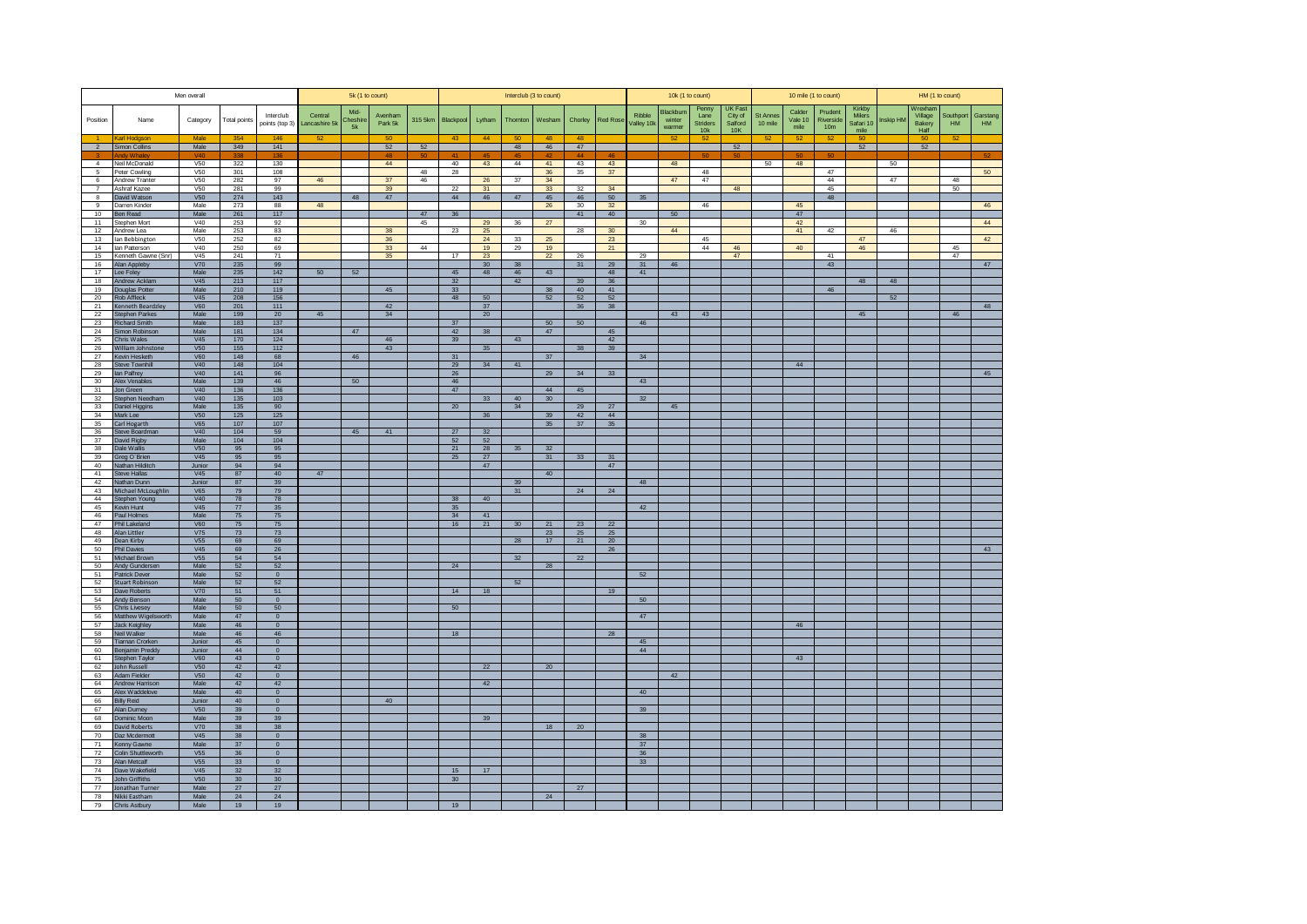|                          |                                       | Men overall               |                       |                             |                         | 5k (1 to count)       |                    |         |                       |                       | Interclub (3 to count) |                 |                 |                        |                      |                               | 10k (1 to count)                        |                                             |                            | 10 mile (1 to count)      |                                         |                                       |          | HM (1 to count)                      |                        |                       |
|--------------------------|---------------------------------------|---------------------------|-----------------------|-----------------------------|-------------------------|-----------------------|--------------------|---------|-----------------------|-----------------------|------------------------|-----------------|-----------------|------------------------|----------------------|-------------------------------|-----------------------------------------|---------------------------------------------|----------------------------|---------------------------|-----------------------------------------|---------------------------------------|----------|--------------------------------------|------------------------|-----------------------|
| Position                 | Name                                  | Category                  | Total points          | Interclub<br>points (top 3) | Central<br>ancashire 5k | Mid-<br>Cheshir<br>5k | Avenham<br>Park 5k | 315 5km | Blackpool             | Lytham                | Thornton               | Wesham          | Chorley         | Red Rose               | Ribble<br>Valley 10k | Blackburn<br>winter<br>warmer | Penny<br>Lane<br><b>Striders</b><br>10k | <b>IK Fast</b><br>City of<br>Salford<br>10K | <b>St Annes</b><br>10 mile | Calder<br>Vale 10<br>mile | Prudent<br>Riverside<br>10 <sub>m</sub> | Kirkby<br>Milers<br>Safari 10<br>mile | nskip HM | Wrexham<br>Village<br>Bakery<br>Half | Southport<br><b>HM</b> | Garstand<br><b>HM</b> |
|                          | arl Hodgsor                           | Ma                        | 354                   | 146                         | 52                      |                       | 50                 |         | 43                    | 44                    | -50                    | $\overline{AB}$ | $\overline{AB}$ |                        |                      |                               | 52                                      |                                             | -52                        | 52                        | 52                                      | 50                                    |          | -50                                  | -52                    |                       |
| $\overline{2}$           | Simon Collins                         | Male                      | 349                   | 141                         |                         |                       | 52                 | 52      |                       |                       | 48                     | 46              | 47              |                        |                      |                               |                                         | 52                                          |                            |                           |                                         | 52                                    |          | 52                                   |                        |                       |
| $\overline{4}$           | Neil McDonald                         | V50                       | 322                   | 130                         |                         |                       | 44                 |         | 40                    | 43                    | 44                     | 41              | 43              | 43                     |                      | 48                            |                                         |                                             | 50                         | 48                        |                                         |                                       | 50       |                                      |                        |                       |
| $5\phantom{.0}$          | Peter Cowling                         | V50                       | 301                   | 108                         |                         |                       |                    | 48      | 28                    |                       |                        | 36              | $35\,$          | 37                     |                      |                               | 48                                      |                                             |                            |                           | 47                                      |                                       |          |                                      |                        | 50                    |
| 6                        | Andrew Tranter                        | V50                       | 282                   | 97                          | 46                      |                       | 37                 | 46      |                       | 26                    | 37                     | 34              |                 |                        |                      | 47                            | 47                                      |                                             |                            |                           | 44                                      |                                       | 47       |                                      | 48                     |                       |
| $\overline{7}$<br>$\bf8$ | Ashraf Kazee<br>David Watson          | V <sub>50</sub><br>V50    | 281<br>274            | 99<br>143                   |                         | 48                    | 39<br>$47\,$       |         | 22<br>44              | 31<br>46              | $47\,$                 | 33<br>45        | 32<br>46        | 34<br>50 <sub>50</sub> | 35 <sup>5</sup>      |                               |                                         | 48                                          |                            |                           | 45<br>48                                |                                       |          |                                      | 50                     |                       |
| 9                        | Darren Kinder                         | Male                      | 273                   | 88                          | 48                      |                       |                    |         |                       |                       |                        | 26              | 30              | 32                     |                      |                               | 46                                      |                                             |                            | 45                        |                                         |                                       |          |                                      |                        | 46                    |
| 10                       | Ben Read                              | Male                      | 261                   | 117                         |                         |                       |                    | 47      | 36                    |                       |                        |                 | 41              | 40                     |                      | 50 <sub>5</sub>               |                                         |                                             |                            | 47                        |                                         |                                       |          |                                      |                        |                       |
| 11<br>12                 | Stephen Mort<br>Andrew Lea            | V40<br>Male               | 253<br>253            | 92<br>83                    |                         |                       | 38                 | 45      | 23                    | 29<br>25              | 36                     | 27              | $28\,$          | 30                     | 30 <sup>2</sup>      | 44                            |                                         |                                             |                            | 42<br>41                  | 42                                      |                                       | 46       |                                      |                        | 44                    |
| 13                       | Ian Bebbington                        | V50                       | 252                   | 82                          |                         |                       | 36                 |         |                       | 24                    | 33                     | 25              |                 | 23                     |                      |                               | 45                                      |                                             |                            |                           |                                         | 47                                    |          |                                      |                        | 42                    |
| 14                       | Ian Patterson                         | V40                       | 250                   | 69                          |                         |                       | 33 <sup>3</sup>    | 44      |                       | 19                    | 29                     | 19              |                 | 21                     |                      |                               | 44                                      | 46                                          |                            | 40                        |                                         | 46                                    |          |                                      | 45                     |                       |
| 15<br>$16\,$             | Kenneth Gawne (Snr)<br>Alan Appleby   | V45<br>V70                | 241<br>235            | 71<br>99                    |                         |                       | 35                 |         | 17                    | 23<br>30 <sup>°</sup> | 38                     | 22              | 26<br>31        | 29                     | 29<br>31             | 46                            |                                         | 47                                          |                            |                           | 41<br>43                                |                                       |          |                                      | 47                     | 47                    |
| 17                       | Lee Foley                             | Male                      | 235                   | $142$                       | 50                      | 52                    |                    |         | 45                    | 48                    | 46                     | 43              |                 | 48                     | 41                   |                               |                                         |                                             |                            |                           |                                         |                                       |          |                                      |                        |                       |
| 18                       | Andrew Acklam                         | V45                       | 213                   | 117                         |                         |                       |                    |         | 32                    |                       | 42                     |                 | 39              | 36                     |                      |                               |                                         |                                             |                            |                           |                                         | 48                                    | 48       |                                      |                        |                       |
| 19<br>20                 | <b>Douglas Potter</b><br>Rob Affleck  | Male<br>V45               | 210<br>208            | 119<br>156                  |                         |                       | 45                 |         | 33<br>48              | 50                    |                        | 38<br>52        | 40<br>52        | 41<br>52               |                      |                               |                                         |                                             |                            |                           | 46                                      |                                       | 52       |                                      |                        |                       |
| 21                       | <b>Kenneth Beardzley</b>              | <b>V60</b>                | 201                   | 111                         |                         |                       | 42                 |         |                       | 37                    |                        |                 | 36              | 38                     |                      |                               |                                         |                                             |                            |                           |                                         |                                       |          |                                      |                        | 48                    |
| 22                       | <b>Stephen Parkes</b>                 | Male<br>Male              | 199                   | 20                          | 45                      |                       | 34                 |         | 37                    | 20                    |                        | 50              | 50              |                        |                      | 43                            | 43                                      |                                             |                            |                           |                                         | 45                                    |          |                                      | 46                     |                       |
| 23<br>24                 | Richard Smith<br>Simon Robinson       | Male                      | 183<br>181            | 137<br>134                  |                         | 47                    |                    |         | 42                    | 38                    |                        | 47              |                 | 45                     | $46\,$               |                               |                                         |                                             |                            |                           |                                         |                                       |          |                                      |                        |                       |
| 25                       | Chris Wales                           | V45                       | 170                   | 124                         |                         |                       | 46                 |         | 39                    |                       | 43                     |                 |                 | 42                     |                      |                               |                                         |                                             |                            |                           |                                         |                                       |          |                                      |                        |                       |
| 26<br>27                 | William Johnstone<br>Kevin Hesketh    | <b>V50</b><br>V60         | 155<br>148            | 112<br>68                   |                         | 46                    | 43                 |         | 31                    | 35 <sup>5</sup>       |                        | 37              | $38\,$          | 39                     | 34                   |                               |                                         |                                             |                            |                           |                                         |                                       |          |                                      |                        |                       |
| 28                       | Steve Townhill                        | V40                       | 148                   | 104                         |                         |                       |                    |         | 29                    | 34                    | 41                     |                 |                 |                        |                      |                               |                                         |                                             |                            | 44                        |                                         |                                       |          |                                      |                        |                       |
| 29                       | Ian Palfrey                           | V40                       | 141                   | 96                          |                         |                       |                    |         | 26                    |                       |                        | 29              | 34              | 33                     |                      |                               |                                         |                                             |                            |                           |                                         |                                       |          |                                      |                        | 45                    |
| 30 <sup>°</sup><br>31    | <b>Alex Venables</b><br>Jon Green     | Male<br>V40               | 139<br>136            | 46<br>136                   |                         | 50                    |                    |         | 46<br>47              |                       |                        | 44              | 45              |                        | 43                   |                               |                                         |                                             |                            |                           |                                         |                                       |          |                                      |                        |                       |
| 32                       | Stephen Needham                       | V40                       | 135                   | 103                         |                         |                       |                    |         |                       | 33                    | 40                     | 30 <sup>2</sup> |                 |                        | 32                   |                               |                                         |                                             |                            |                           |                                         |                                       |          |                                      |                        |                       |
| 33                       | Daniel Higgins                        | Male                      | 135                   | 90                          |                         |                       |                    |         | 20                    |                       | 34                     |                 | 29              | 27                     |                      | 45                            |                                         |                                             |                            |                           |                                         |                                       |          |                                      |                        |                       |
| 34<br>35                 | Mark Lee<br>Carl Hogarth              | V50<br>V65                | 125<br>107            | 125<br>107                  |                         |                       |                    |         |                       | 36                    |                        | 39<br>35        | 42<br>37        | 44<br>35               |                      |                               |                                         |                                             |                            |                           |                                         |                                       |          |                                      |                        |                       |
| 36                       | Steve Boardman                        | V40                       | 104                   | 59                          |                         | 45                    | 41                 |         | 27                    | 32                    |                        |                 |                 |                        |                      |                               |                                         |                                             |                            |                           |                                         |                                       |          |                                      |                        |                       |
| 37<br>38                 | David Rigby<br>Dale Wallis            | Male<br>V50               | 104<br>95             | 104<br>95                   |                         |                       |                    |         | 52<br>21              | 52<br>28              | 35                     | 32              |                 |                        |                      |                               |                                         |                                             |                            |                           |                                         |                                       |          |                                      |                        |                       |
| 39                       | Greg O'Brien                          | V45                       | 95                    | 95                          |                         |                       |                    |         | 25                    | 27                    |                        | 31              | 33              | 31                     |                      |                               |                                         |                                             |                            |                           |                                         |                                       |          |                                      |                        |                       |
| 40                       | Nathan Hilditch                       | Junior                    | 94                    | 94                          |                         |                       |                    |         |                       | 47                    |                        |                 |                 | 47                     |                      |                               |                                         |                                             |                            |                           |                                         |                                       |          |                                      |                        |                       |
| 41<br>42                 | <b>Steve Hallas</b><br>Nathan Dunn    | V <sub>45</sub><br>Junior | 87<br>87              | 40 <sup>1</sup><br>39       | 47                      |                       |                    |         |                       |                       | 39                     | 40              |                 |                        | 48                   |                               |                                         |                                             |                            |                           |                                         |                                       |          |                                      |                        |                       |
| 43                       | Michael McLoughlin                    | V65                       | 79                    | 79                          |                         |                       |                    |         |                       |                       | 31                     |                 | 24              | 24                     |                      |                               |                                         |                                             |                            |                           |                                         |                                       |          |                                      |                        |                       |
| 44                       | Stephen Young                         | V40<br>V45                | 78                    | 78                          |                         |                       |                    |         | 38                    | 40                    |                        |                 |                 |                        | 42                   |                               |                                         |                                             |                            |                           |                                         |                                       |          |                                      |                        |                       |
| 45<br>46                 | Kevin Hunt<br>Paul Holmes             | Male                      | 77<br>75              | 35<br>75                    |                         |                       |                    |         | 35<br>34              | 41                    |                        |                 |                 |                        |                      |                               |                                         |                                             |                            |                           |                                         |                                       |          |                                      |                        |                       |
| 47                       | Phil Lakeland                         | V60                       | 75                    | 75                          |                         |                       |                    |         | 16                    | 21                    | 30                     | 21              | 23              | 22                     |                      |                               |                                         |                                             |                            |                           |                                         |                                       |          |                                      |                        |                       |
| 48<br>49                 | Alan Littler                          | V75<br><b>V55</b>         | 73<br>69              | 73<br>69                    |                         |                       |                    |         |                       |                       | 28                     | 23<br>17        | 25              | 25<br>20               |                      |                               |                                         |                                             |                            |                           |                                         |                                       |          |                                      |                        |                       |
| 50                       | Dean Kirby<br><b>Phil Davies</b>      | V45                       | 69                    | 26                          |                         |                       |                    |         |                       |                       |                        |                 | 21              | $26\phantom{.0}$       |                      |                               |                                         |                                             |                            |                           |                                         |                                       |          |                                      |                        | 43                    |
| 51                       | Michael Brown                         | V55                       | 54                    | 54                          |                         |                       |                    |         |                       |                       | 32                     |                 | 22              |                        |                      |                               |                                         |                                             |                            |                           |                                         |                                       |          |                                      |                        |                       |
| 50<br>51                 | Andy Gundersen<br>Patrick Dever       | Male<br>Male              | 52<br>52              | 52<br>$\overline{0}$        |                         |                       |                    |         | 24                    |                       |                        | 28              |                 |                        | 52                   |                               |                                         |                                             |                            |                           |                                         |                                       |          |                                      |                        |                       |
| 52                       | <b>Stuart Robinson</b>                | Male                      | 52                    | 52                          |                         |                       |                    |         |                       |                       | 52                     |                 |                 |                        |                      |                               |                                         |                                             |                            |                           |                                         |                                       |          |                                      |                        |                       |
| 53                       | Dave Roberts                          | V70                       | 51                    | 51                          |                         |                       |                    |         | 14                    | 18                    |                        |                 |                 | 19                     |                      |                               |                                         |                                             |                            |                           |                                         |                                       |          |                                      |                        |                       |
| 54<br>55                 | Andy Benson<br><b>Chris Livesey</b>   | Male<br>Male              | 50<br>50              | $\mathbf 0$<br>50           |                         |                       |                    |         | 50                    |                       |                        |                 |                 |                        | 50                   |                               |                                         |                                             |                            |                           |                                         |                                       |          |                                      |                        |                       |
| 56                       | Matthew Wigelsworth                   | Male                      | 47                    | $\overline{0}$              |                         |                       |                    |         |                       |                       |                        |                 |                 |                        | 47                   |                               |                                         |                                             |                            |                           |                                         |                                       |          |                                      |                        |                       |
| 57                       | Jack Keighley                         | Male                      | 46                    | $\mathbf{0}$                |                         |                       |                    |         |                       |                       |                        |                 |                 |                        |                      |                               |                                         |                                             |                            | 46                        |                                         |                                       |          |                                      |                        |                       |
| 58<br>59                 | Neil Walker<br><b>Tiarnan Crorken</b> | Male<br>Junior            | 46<br>45              | 46<br>$\mathbf 0$           |                         |                       |                    |         | 18                    |                       |                        |                 |                 | 28                     | 45                   |                               |                                         |                                             |                            |                           |                                         |                                       |          |                                      |                        |                       |
| 60                       | <b>Benjamin Preddy</b>                | Junior                    | 44                    | $\mathbf{0}$                |                         |                       |                    |         |                       |                       |                        |                 |                 |                        | 44                   |                               |                                         |                                             |                            |                           |                                         |                                       |          |                                      |                        |                       |
| 61<br>62                 | Stephen Taylor                        | V60                       | 43                    | $\mathbf 0$<br>42           |                         |                       |                    |         |                       |                       |                        |                 |                 |                        |                      |                               |                                         |                                             |                            | 43                        |                                         |                                       |          |                                      |                        |                       |
| 63                       | <b>John Russell</b><br>Adam Fielder   | <b>V50</b><br>V50         | 42<br>42              | $\mathbf 0$                 |                         |                       |                    |         |                       | 22                    |                        | 20              |                 |                        |                      | 42                            |                                         |                                             |                            |                           |                                         |                                       |          |                                      |                        |                       |
| 64                       | Andrew Harrison                       | Male                      | 42                    | 42                          |                         |                       |                    |         |                       | 42                    |                        |                 |                 |                        |                      |                               |                                         |                                             |                            |                           |                                         |                                       |          |                                      |                        |                       |
| 65<br>66                 | Alex Waddelove<br><b>Billy Reid</b>   | Male<br>Junior            | 40<br>40              | $\mathbf 0$<br>$\mathbf{0}$ |                         |                       | 40                 |         |                       |                       |                        |                 |                 |                        | 40                   |                               |                                         |                                             |                            |                           |                                         |                                       |          |                                      |                        |                       |
| 67                       | Alan Dumey                            | V50                       | 39                    | $\mathbf 0$                 |                         |                       |                    |         |                       |                       |                        |                 |                 |                        | 39                   |                               |                                         |                                             |                            |                           |                                         |                                       |          |                                      |                        |                       |
| 68                       | Dominic Moon                          | Male                      | 39                    | 39                          |                         |                       |                    |         |                       | 39                    |                        |                 |                 |                        |                      |                               |                                         |                                             |                            |                           |                                         |                                       |          |                                      |                        |                       |
| 69                       | <b>David Roberts</b>                  | <b>V70</b>                | 38                    | 38                          |                         |                       |                    |         |                       |                       |                        | 18              | 20              |                        |                      |                               |                                         |                                             |                            |                           |                                         |                                       |          |                                      |                        |                       |
| 70<br>71                 | Daz Mcdermott<br>Kenny Gawne          | V45<br>Male               | 38<br>37              | $\bf{0}$<br>$\overline{0}$  |                         |                       |                    |         |                       |                       |                        |                 |                 |                        | 38<br>37             |                               |                                         |                                             |                            |                           |                                         |                                       |          |                                      |                        |                       |
| 72                       | Colin Shuttleworth                    | V <sub>55</sub>           | 36                    | $\mathbf{0}$                |                         |                       |                    |         |                       |                       |                        |                 |                 |                        | 36                   |                               |                                         |                                             |                            |                           |                                         |                                       |          |                                      |                        |                       |
| 73                       | Alan Metcalf                          | V <sub>55</sub>           | 33                    | $\overline{0}$              |                         |                       |                    |         |                       |                       |                        |                 |                 |                        | 33                   |                               |                                         |                                             |                            |                           |                                         |                                       |          |                                      |                        |                       |
| 74<br>75                 | Dave Wakefield<br>John Griffiths      | V45<br><b>V50</b>         | 32<br>30 <sub>2</sub> | 32<br>$30\,$                |                         |                       |                    |         | 15<br>30 <sup>°</sup> | 17                    |                        |                 |                 |                        |                      |                               |                                         |                                             |                            |                           |                                         |                                       |          |                                      |                        |                       |
| 77                       | Jonathan Turner                       | Male                      | 27                    | 27                          |                         |                       |                    |         |                       |                       |                        |                 | 27              |                        |                      |                               |                                         |                                             |                            |                           |                                         |                                       |          |                                      |                        |                       |
| 78                       | Nikki Eastham                         | Male                      | 24                    | 24                          |                         |                       |                    |         |                       |                       |                        | 24              |                 |                        |                      |                               |                                         |                                             |                            |                           |                                         |                                       |          |                                      |                        |                       |
| 79                       | <b>Chris Astbury</b>                  | Male                      | 19                    | 19                          |                         |                       |                    |         | 19                    |                       |                        |                 |                 |                        |                      |                               |                                         |                                             |                            |                           |                                         |                                       |          |                                      |                        |                       |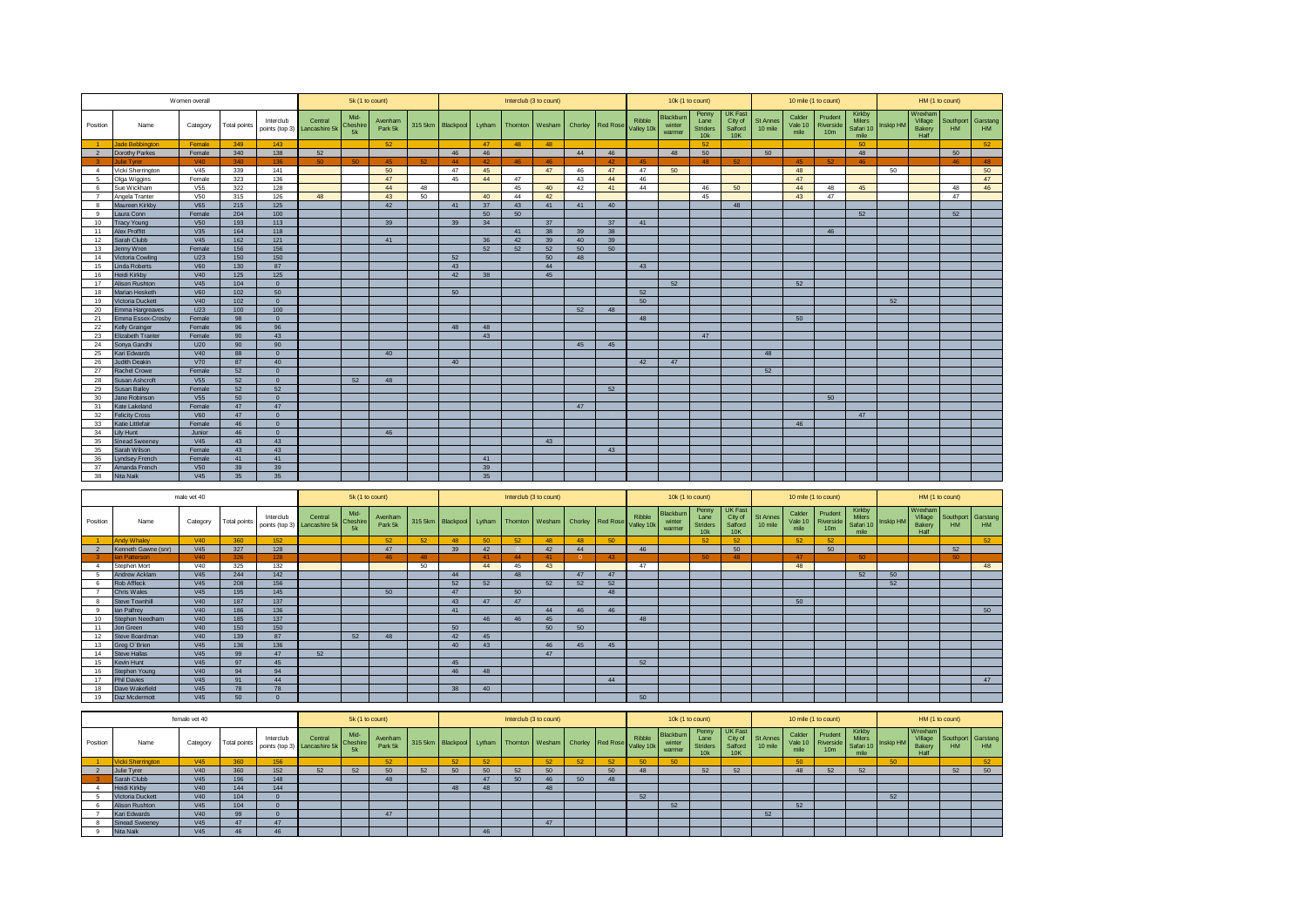|                |                          | Women overall   |              |              |                                         | 5k (1 to count)        |                    |         |           |        |          | Interclub (3 to count) |         |                 |                      | 10k (1 to count)              |                                         |                                             |                            |                           | 10 mile (1 to count)                    |                                              |           |                                      | HM (1 to count)        |                |
|----------------|--------------------------|-----------------|--------------|--------------|-----------------------------------------|------------------------|--------------------|---------|-----------|--------|----------|------------------------|---------|-----------------|----------------------|-------------------------------|-----------------------------------------|---------------------------------------------|----------------------------|---------------------------|-----------------------------------------|----------------------------------------------|-----------|--------------------------------------|------------------------|----------------|
| Position       | Name                     | Category        | Total points | Interclub    | Central<br>points (top 3) Lancashire 5k | Mid-<br>Cheshire<br>5k | Avenham<br>Park 5k | 315 5km | Blackpool | Lytham | Thornton | Wesham                 | Chorley | <b>Red Rose</b> | Ribble<br>Valley 10k | Blackburn<br>winter<br>warmer | Penny<br>Lane<br><b>Striders</b><br>10k | <b>UK Fast</b><br>City of<br>Salford<br>10K | <b>St Annes</b><br>10 mile | Calder<br>Vale 10<br>mile | Prudent<br>Riverside<br>10 <sub>m</sub> | Kirkby<br><b>Milers</b><br>Safari 10<br>mile | Inskip HM | Wrexham<br>Village<br>Bakery<br>Half | Southport<br><b>HM</b> | Garstang<br>HM |
| $-1$           | Jade Bebbington          | Female          | 349          | 143          |                                         |                        | 52                 |         |           | 47     | 48       | 48                     |         |                 |                      |                               | 52                                      |                                             |                            |                           |                                         | 50                                           |           |                                      |                        | 52             |
| $\overline{2}$ | Dorothy Parkes           | Female          | 340          | 138          | 52                                      |                        |                    |         | 46        | 46     |          |                        | 44      | 46              |                      | 48                            | 50                                      |                                             | 50                         |                           |                                         | 48                                           |           |                                      | 50                     |                |
|                | <b>Julie Tyrer</b>       | <b>V40</b>      | 340          | 136          | 50                                      | 50                     | 45                 | 52      | 44        | 42     | 46       | 46                     |         | 42              | 45                   |                               | 48                                      | 52                                          |                            | 45                        | 52                                      | 46                                           |           |                                      | 46                     | 48             |
| $\overline{4}$ | Vicki Sherrington        | V45             | 339          | 141          |                                         |                        | 50                 |         | 47        | 45     |          | 47                     | 46      | 47              | 47                   | 50                            |                                         |                                             |                            | 48                        |                                         |                                              | 50        |                                      |                        | 50             |
| 5              | Olga Wiggins             | Female          | 323          | 136          |                                         |                        | 47                 |         | 45        | 44     | 47       |                        | 43      | 44              | 46                   |                               |                                         |                                             |                            | 47                        |                                         |                                              |           |                                      |                        | 47             |
| 6              | Sue Wickham              | V <sub>55</sub> | 322          | 128          |                                         |                        | 44                 | 48      |           |        | 45       | 40                     | 42      | 41              | 44                   |                               | 46                                      | 50                                          |                            | 44                        | 48                                      | 45                                           |           |                                      | 48                     | 46             |
| $\overline{7}$ | Angela Tranter           | V <sub>50</sub> | 315          | 126          | 48                                      |                        | 43                 | 50      |           | 40     | 44       | 42                     |         |                 |                      |                               | 45                                      |                                             |                            | 43                        | 47                                      |                                              |           |                                      | 47                     |                |
| $\mathbf{a}$   | Maureen Kirkby           | <b>V65</b>      | 215          | 125          |                                         |                        | 42                 |         | 41        | 37     | 43       | 41                     | 41      | 40              |                      |                               |                                         | 48                                          |                            |                           |                                         |                                              |           |                                      |                        |                |
| $\mathbf{q}$   | Laura Conn               | Female          | 204          | 100          |                                         |                        |                    |         |           | 50     | 50       |                        |         |                 |                      |                               |                                         |                                             |                            |                           |                                         | 52                                           |           |                                      | 52                     |                |
| 10             | <b>Tracy Young</b>       | V <sub>50</sub> | 193          | 113          |                                         |                        | 39                 |         | 39        | 34     |          | 37                     |         | 37              | 41                   |                               |                                         |                                             |                            |                           |                                         |                                              |           |                                      |                        |                |
| 11             | <b>Alex Proffitt</b>     | V35             | 164          | 118          |                                         |                        |                    |         |           |        | 41       | 38                     | 39      | 38              |                      |                               |                                         |                                             |                            |                           | 46                                      |                                              |           |                                      |                        |                |
| 12             | Sarah Clubb              | V45             | 162          | 121          |                                         |                        | 41                 |         |           | 36     | 42       | 39                     | 40      | 39              |                      |                               |                                         |                                             |                            |                           |                                         |                                              |           |                                      |                        |                |
| 13             | Jenny Wren               | Female          | 156          | 156          |                                         |                        |                    |         |           | 52     | 52       | 52                     | 50      | 50              |                      |                               |                                         |                                             |                            |                           |                                         |                                              |           |                                      |                        |                |
| 14             | Victoria Cowling         | U23             | 150          | 150          |                                         |                        |                    |         | 52        |        |          | 50                     | 48      |                 |                      |                               |                                         |                                             |                            |                           |                                         |                                              |           |                                      |                        |                |
| 15             | <b>Linda Roberts</b>     | <b>V60</b>      | 130          | 87           |                                         |                        |                    |         | 43        |        |          | 44                     |         |                 | 43                   |                               |                                         |                                             |                            |                           |                                         |                                              |           |                                      |                        |                |
| 16             | Heidi Kirkby             | V40             | 125          | 125          |                                         |                        |                    |         | 42        | 38     |          | 45                     |         |                 |                      |                               |                                         |                                             |                            |                           |                                         |                                              |           |                                      |                        |                |
| 17             | Alison Rushton           | V45             | 104          | $\mathbf{0}$ |                                         |                        |                    |         |           |        |          |                        |         |                 |                      | 52                            |                                         |                                             |                            | 52                        |                                         |                                              |           |                                      |                        |                |
| 18             | Marian Hesketh           | <b>V60</b>      | 102          | 50           |                                         |                        |                    |         | 50        |        |          |                        |         |                 | 52                   |                               |                                         |                                             |                            |                           |                                         |                                              |           |                                      |                        |                |
| 19             | Victoria Duckett         | V40             | 102          | $\mathbf{0}$ |                                         |                        |                    |         |           |        |          |                        |         |                 | 50                   |                               |                                         |                                             |                            |                           |                                         |                                              | 52        |                                      |                        |                |
| 20             | Emma Hargreaves          | U23             | 100          | 100          |                                         |                        |                    |         |           |        |          |                        | 52      | 48              |                      |                               |                                         |                                             |                            |                           |                                         |                                              |           |                                      |                        |                |
| 21             | Emma Essex-Crosby        | Female          | 98           | $\mathbf{0}$ |                                         |                        |                    |         |           |        |          |                        |         |                 | 48                   |                               |                                         |                                             |                            | 50                        |                                         |                                              |           |                                      |                        |                |
| 22             | <b>Kelly Grainger</b>    | Female          | 96           | 96           |                                         |                        |                    |         | 48        | 48     |          |                        |         |                 |                      |                               |                                         |                                             |                            |                           |                                         |                                              |           |                                      |                        |                |
| 23             | <b>Elizabeth Tranter</b> | Female          | 90           | 43           |                                         |                        |                    |         |           | 43     |          |                        |         |                 |                      |                               | 47                                      |                                             |                            |                           |                                         |                                              |           |                                      |                        |                |
| 24             | Sonya Gandhi             | U20             | 90           | 90           |                                         |                        |                    |         |           |        |          |                        | 45      | 45              |                      |                               |                                         |                                             |                            |                           |                                         |                                              |           |                                      |                        |                |
| 25             | Kari Edwards             | V <sub>40</sub> | 88           | $\mathbf{0}$ |                                         |                        | 40                 |         |           |        |          |                        |         |                 |                      |                               |                                         |                                             | 48                         |                           |                                         |                                              |           |                                      |                        |                |
| 26             | Judith Deakin            | <b>V70</b>      | 87           | 40           |                                         |                        |                    |         | 40        |        |          |                        |         |                 | 42                   | 47                            |                                         |                                             |                            |                           |                                         |                                              |           |                                      |                        |                |
| 27             | <b>Rachel Crowe</b>      | Female          | 52           | $\mathbf{0}$ |                                         |                        |                    |         |           |        |          |                        |         |                 |                      |                               |                                         |                                             | 52                         |                           |                                         |                                              |           |                                      |                        |                |
| 28             | Susan Ashcroft           | <b>V55</b>      | 52           | $\mathbf{0}$ |                                         | 52                     | 48                 |         |           |        |          |                        |         |                 |                      |                               |                                         |                                             |                            |                           |                                         |                                              |           |                                      |                        |                |
| 29             | <b>Susan Bailey</b>      | Female          | 52           | 52           |                                         |                        |                    |         |           |        |          |                        |         | 52              |                      |                               |                                         |                                             |                            |                           |                                         |                                              |           |                                      |                        |                |
| 30             | Jane Robinson            | V <sub>55</sub> | 50           | $\mathbf{0}$ |                                         |                        |                    |         |           |        |          |                        |         |                 |                      |                               |                                         |                                             |                            |                           | 50                                      |                                              |           |                                      |                        |                |
| 31             | Kate Lakeland            | Female          | 47           | 47           |                                         |                        |                    |         |           |        |          |                        | 47      |                 |                      |                               |                                         |                                             |                            |                           |                                         |                                              |           |                                      |                        |                |
| 32             | <b>Felicity Cross</b>    | <b>V60</b>      | 47           | $\mathbf{0}$ |                                         |                        |                    |         |           |        |          |                        |         |                 |                      |                               |                                         |                                             |                            |                           |                                         | 47                                           |           |                                      |                        |                |
| 33             | Katie Littlefair         | Female          | 46           | $\mathbf{0}$ |                                         |                        |                    |         |           |        |          |                        |         |                 |                      |                               |                                         |                                             |                            | 46                        |                                         |                                              |           |                                      |                        |                |
| 34             | <b>Lilv Hunt</b>         | Junior          | 46           | $\mathbf{0}$ |                                         |                        | 46                 |         |           |        |          |                        |         |                 |                      |                               |                                         |                                             |                            |                           |                                         |                                              |           |                                      |                        |                |
| 35             | <b>Sinead Sweeney</b>    | V45             | 43           | 43           |                                         |                        |                    |         |           |        |          | 43                     |         |                 |                      |                               |                                         |                                             |                            |                           |                                         |                                              |           |                                      |                        |                |
| 35             | Sarah Wilson             | Female          | 43           | 43           |                                         |                        |                    |         |           |        |          |                        |         | 43              |                      |                               |                                         |                                             |                            |                           |                                         |                                              |           |                                      |                        |                |
| 36             | <b>Lyndsey French</b>    | Female          | 41           | 41           |                                         |                        |                    |         |           | 41     |          |                        |         |                 |                      |                               |                                         |                                             |                            |                           |                                         |                                              |           |                                      |                        |                |
| 37             | Amanda French            | V50             | 39           | 39           |                                         |                        |                    |         |           | 39     |          |                        |         |                 |                      |                               |                                         |                                             |                            |                           |                                         |                                              |           |                                      |                        |                |
| 38             | Nita Naik                | V45             | 35           | 35           |                                         |                        |                    |         |           | 35     |          |                        |         |                 |                      |                               |                                         |                                             |                            |                           |                                         |                                              |           |                                      |                        |                |

|          |                       | male vet 40     |              |           |                                         |                        | 5k (1 to count)    |    |                   |        |    | Interclub (3 to count) |    |                  |                      | 10k (1 to count)              |                                              |                                                    |                     | 10 mile (1 to count)      |                                         |                                              |                  |                                      | HM (1 to count)        |                       |
|----------|-----------------------|-----------------|--------------|-----------|-----------------------------------------|------------------------|--------------------|----|-------------------|--------|----|------------------------|----|------------------|----------------------|-------------------------------|----------------------------------------------|----------------------------------------------------|---------------------|---------------------------|-----------------------------------------|----------------------------------------------|------------------|--------------------------------------|------------------------|-----------------------|
| Position | Name                  | Category        | Total points | Interclub | Central<br>points (top 3) Lancashire 5k | Mid-<br>Cheshire<br>5k | Avenham<br>Park 5k |    | 315 5km Blackpool | Lytham |    | Thornton   Wesham      |    | Chorley Red Rose | Ribble<br>Valley 10k | Blackburn<br>winter<br>warmer | Penny<br>Lane<br>Striders<br>10 <sub>k</sub> | <b>UK Fast</b><br>City of<br>Salford<br><b>10K</b> | St Annes<br>10 mile | Calder<br>Vale 10<br>mile | Prudent<br>Riverside<br>10 <sub>m</sub> | Kirkby<br><b>Milers</b><br>Safari 10<br>mile | <b>Inskip HM</b> | Wrexham<br>Village<br>Bakery<br>Half | Southport<br><b>HM</b> | Garstang<br><b>HM</b> |
|          | Andy Whaley           | <b>V40</b>      | 360          | 152       |                                         |                        | 52                 | 52 | 48                | 50     | 52 | 48                     | 48 | 50               |                      |                               | 52                                           | 52                                                 |                     | 52                        | 52 <sub>2</sub>                         |                                              |                  |                                      |                        | 52                    |
|          | Kenneth Gawne (snr)   | V <sub>45</sub> | 327          | 128       |                                         |                        | 47                 |    | 39                | 42     |    | 42                     | 44 |                  | 46                   |                               |                                              | 50                                                 |                     |                           | 50                                      |                                              |                  |                                      | 52                     |                       |
|          | <b>Jan Patterson</b>  | <b>V40</b>      | 326          | 128       |                                         |                        | 46                 | 48 |                   | 41     | 44 | 41                     |    | 43               |                      |                               | 50                                           | 48                                                 |                     | 47                        |                                         | 50                                           |                  |                                      | 50                     |                       |
|          | Stephen Mort          | V40             | 325          | 132       |                                         |                        |                    | 50 |                   | 44     | 45 | 43                     |    |                  | 47                   |                               |                                              |                                                    |                     | 48                        |                                         |                                              |                  |                                      |                        | 48                    |
|          | Andrew Acklam         | V <sub>45</sub> | 244          | 142       |                                         |                        |                    |    | 44                |        | 48 |                        | 47 | 47               |                      |                               |                                              |                                                    |                     |                           |                                         | 52                                           | 50               |                                      |                        |                       |
|          | Rob Affleck           | V <sub>45</sub> | 208          | 156       |                                         |                        |                    |    | 52                | 52     |    | 52                     | 52 | 52               |                      |                               |                                              |                                                    |                     |                           |                                         |                                              | 52               |                                      |                        |                       |
|          | <b>Chris Wales</b>    | V <sub>45</sub> | 195          | 145       |                                         |                        | 50                 |    | 47                |        | 50 |                        |    | 48               |                      |                               |                                              |                                                    |                     |                           |                                         |                                              |                  |                                      |                        |                       |
|          | <b>Steve Townhill</b> | V <sub>40</sub> | 187          | 137       |                                         |                        |                    |    | 43                | 47     | 47 |                        |    |                  |                      |                               |                                              |                                                    |                     | 50                        |                                         |                                              |                  |                                      |                        |                       |
|          | <b>Ian Palfrey</b>    | V <sub>40</sub> | 186          | 136       |                                         |                        |                    |    | 41                |        |    | 44                     | 46 | 46               |                      |                               |                                              |                                                    |                     |                           |                                         |                                              |                  |                                      |                        | 50                    |
| 10       | Stephen Needham       | V <sub>40</sub> | 185          | 137       |                                         |                        |                    |    |                   | 46     | 46 | 45                     |    |                  | 48                   |                               |                                              |                                                    |                     |                           |                                         |                                              |                  |                                      |                        |                       |
|          | Jon Green             | V40             | 150          | 150       |                                         |                        |                    |    | 50                |        |    | 50                     | 50 |                  |                      |                               |                                              |                                                    |                     |                           |                                         |                                              |                  |                                      |                        |                       |
| 12       | Steve Boardman        | V40             | 139          | 87        |                                         | 52                     | 48                 |    | 42                | 45     |    |                        |    |                  |                      |                               |                                              |                                                    |                     |                           |                                         |                                              |                  |                                      |                        |                       |
|          | Grea O'Brien          | <b>V45</b>      | 136          | 136       |                                         |                        |                    |    | 40                | 43     |    | 46                     | 45 | 45               |                      |                               |                                              |                                                    |                     |                           |                                         |                                              |                  |                                      |                        |                       |
| 14       | <b>Steve Hallas</b>   | <b>V45</b>      | 99           | 47        | 52                                      |                        |                    |    |                   |        |    | 47                     |    |                  |                      |                               |                                              |                                                    |                     |                           |                                         |                                              |                  |                                      |                        |                       |
| 15       | Kevin Hunt            | <b>V45</b>      | 97           | 45        |                                         |                        |                    |    | 45                |        |    |                        |    |                  | 52                   |                               |                                              |                                                    |                     |                           |                                         |                                              |                  |                                      |                        |                       |
| 16       | Stephen Young         | V <sub>40</sub> | 94           | 94        |                                         |                        |                    |    | 46                | 48     |    |                        |    |                  |                      |                               |                                              |                                                    |                     |                           |                                         |                                              |                  |                                      |                        |                       |
| 17       | <b>Phil Davies</b>    | <b>V45</b>      | 91           | 44        |                                         |                        |                    |    |                   |        |    |                        |    | 44               |                      |                               |                                              |                                                    |                     |                           |                                         |                                              |                  |                                      |                        | 47                    |
| 18       | Dave Wakefield        | V <sub>45</sub> | 78           | 78        |                                         |                        |                    |    | 38                | 40     |    |                        |    |                  |                      |                               |                                              |                                                    |                     |                           |                                         |                                              |                  |                                      |                        |                       |
| 19       | Daz Mcdermott         | <b>V45</b>      | 50           |           |                                         |                        |                    |    |                   |        |    |                        |    |                  | 50                   |                               |                                              |                                                    |                     |                           |                                         |                                              |                  |                                      |                        |                       |

|          |                          | female vet 40   |              |           |                                         |                        | 5k (1 to count)    |    |                          |                 |    | Interclub (3 to count)                 |    |    |                      |                               | 10k (1 to count)                 |                                             |                     |                           | 10 mile (1 to count)                    |                                              |                 |                                      | HM (1 to count)                 |           |
|----------|--------------------------|-----------------|--------------|-----------|-----------------------------------------|------------------------|--------------------|----|--------------------------|-----------------|----|----------------------------------------|----|----|----------------------|-------------------------------|----------------------------------|---------------------------------------------|---------------------|---------------------------|-----------------------------------------|----------------------------------------------|-----------------|--------------------------------------|---------------------------------|-----------|
| Position | Name                     | Category        | Total points | Interclub | Central<br>points (top 3) Lancashire 5k | Mid-<br>Cheshire<br>5k | Avenham<br>Park 5k |    | 315 5km Blackpool Lytham |                 |    | Thornton   Wesham   Chorley   Red Rose |    |    | Ribble<br>Valley 10k | Blackburn<br>winter<br>warmer | Penny<br>Lane<br><b>Striders</b> | <b>UK Fast</b><br>City of<br>Salford<br>10K | St Annes<br>10 mile | Calder<br>Vale 10<br>mile | Prudent<br>Riverside<br>10 <sub>m</sub> | Kirkby<br><b>Milers</b><br>Safari 10<br>mile | Inskip HM       | Wrexham<br>Village<br>Bakery<br>Half | Southport Garstang<br><b>HM</b> | <b>HM</b> |
|          | <b>Vicki Sherrington</b> | <b>V45</b>      | 360          | 156       |                                         |                        | 52                 |    | 52                       | 52 <sub>1</sub> |    | 52                                     | 52 | 52 | .ou                  | 50                            |                                  |                                             |                     | 50                        |                                         |                                              | 50 <sub>2</sub> |                                      |                                 | 52        |
|          | Julie Tyrer              | V <sub>40</sub> | 360          | 152       | 52                                      | 52                     | 50                 | 52 | 50                       | 50              | 52 | 50                                     |    | 50 | 48                   |                               | 52                               | 52                                          |                     | 48                        | 52                                      | 52                                           |                 |                                      | 52                              | 50        |
|          | Sarah Clubb              | V <sub>45</sub> | 196          | 148       |                                         |                        | 48                 |    |                          |                 | 50 | 46                                     | 50 | 48 |                      |                               |                                  |                                             |                     |                           |                                         |                                              |                 |                                      |                                 |           |
|          | Heidi Kirkby             | V <sub>40</sub> | 144          | 144       |                                         |                        |                    |    | A <sub>R</sub>           |                 |    | 48                                     |    |    |                      |                               |                                  |                                             |                     |                           |                                         |                                              |                 |                                      |                                 |           |
|          | <b>Victoria Duckett</b>  | V <sub>40</sub> | 104          |           |                                         |                        |                    |    |                          |                 |    |                                        |    |    | E.                   |                               |                                  |                                             |                     |                           |                                         |                                              | 52              |                                      |                                 |           |
|          | Alison Rushton           | V <sub>45</sub> | 104          |           |                                         |                        |                    |    |                          |                 |    |                                        |    |    |                      | 52                            |                                  |                                             |                     | 52                        |                                         |                                              |                 |                                      |                                 |           |
|          | Kari Edwards             | V <sub>40</sub> | 99           |           |                                         |                        | 47                 |    |                          |                 |    |                                        |    |    |                      |                               |                                  |                                             | 52                  |                           |                                         |                                              |                 |                                      |                                 |           |
|          | <b>Sinead Sweeney</b>    | V <sub>45</sub> |              | 47        |                                         |                        |                    |    |                          |                 |    | 47                                     |    |    |                      |                               |                                  |                                             |                     |                           |                                         |                                              |                 |                                      |                                 |           |
|          | <b>Nita Naik</b>         | V <sub>45</sub> |              | 46        |                                         |                        |                    |    |                          | 46              |    |                                        |    |    |                      |                               |                                  |                                             |                     |                           |                                         |                                              |                 |                                      |                                 |           |